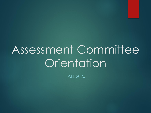# Assessment Committee **Orientation**

FALL 2020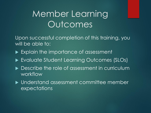# Member Learning **Outcomes**

Upon successful completion of this training, you will be able to:

- Explain the importance of assessment
- Evaluate Student Learning Outcomes (SLOs)
- ▶ Describe the role of assessment in curriculum workflow
- Understand assessment committee member expectations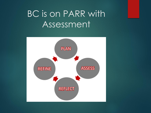# BC is on PARR with Assessment

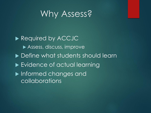### Why Assess?

Required by ACCJC Assess, discuss, improve ▶ Define what students should learn ▶ Evidence of actual learning **Informed changes and** collaborations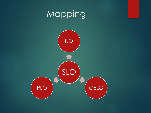# Mapping

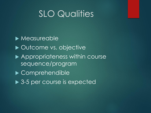### SLO Qualities

**Measureable** ▶ Outcome vs. objective ▶ Appropriateness within course sequence/program ▶ Comprehendible ▶ 3-5 per course is expected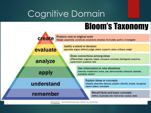# Cognitive Domain

# **Bloom's Taxonomy**



Vanderbilt University Center for Teaching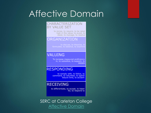### Affective Domain

#### CHARACTERIZATION BY VALUE SET

to revise, to require, to be rated high in the value, to avoid, to resist, to manage, to resolve

### **ORGANIZATION**

to discuss, to theorize, to formulate, to balance, to examine

### **VALUING**

To increase measured proficiency in, to subsidize, to support, to debate

### **RESPONDING**

to comply with, to follow, to commend, to volunteer, to spend leisure time, to acclaim

### **RECEIVING**

to differentiate, to accept, to listen for, to respond to

SERC at Carleton College [Affective Domain](https://serc.carleton.edu/NAGTWorkshops/affective/intro.html)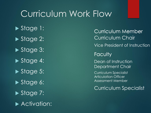### Curriculum Work Flow

Stage 1: Stage 2: Stage 3: Stage 4: Stage 5: Stage 6: Stage 7: **Activation:** 

**Faculty** Dean of Instruction Department Chair Curriculum Specialist Articulation Officer Assessment Member Curriculum Member Curriculum Chair Vice President of Instruction Curriculum Specialist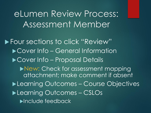eLumen Review Process: Assessment Member

**Four sections to click "Review"** ▶ Cover Info – General Information ▶ Cover Info – Proposal Details **New: Check for assessment mapping** attachment; make comment if absent ▶Learning Outcomes – Course Objectives ▶Learning Outcomes – CSLOs **Include feedback**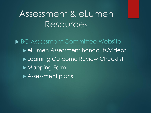### Assessment & eLumen Resources

▶ [BC Assessment Committee Website](https://committees.kccd.edu/bc/committee/assessment) ▶ eLumen Assessment handouts/videos ▶ Learning Outcome Review Checklist **Mapping Form** Assessment plans